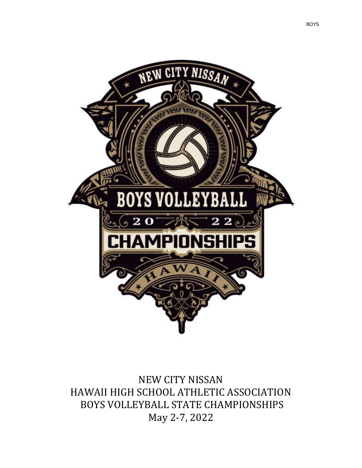

NEW CITY NISSAN HAWAII HIGH SCHOOL ATHLETIC ASSOCIATION BOYS VOLLEYBALL STATE CHAMPIONSHIPS May 2-7, 2022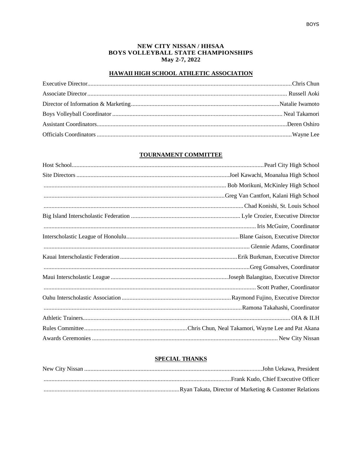## NEW CITY NISSAN / HHSAA **BOYS VOLLEYBALL STATE CHAMPIONSHIPS** May 2-7, 2022

# HAWAII HIGH SCHOOL ATHLETIC ASSOCIATION

# **TOURNAMENT COMMITTEE**

# **SPECIAL THANKS**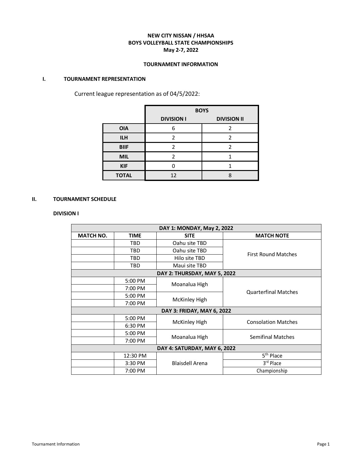# **NEW CITY NISSAN / HHSAA BOYS VOLLEYBALL STATE CHAMPIONSHIPS May 2-7, 2022**

## **TOURNAMENT INFORMATION**

# **I. TOURNAMENT REPRESENTATION**

Current league representation as of 04/5/2022:

|              | <b>BOYS</b>                             |   |  |
|--------------|-----------------------------------------|---|--|
|              | <b>DIVISION I</b><br><b>DIVISION II</b> |   |  |
| <b>OIA</b>   | հ                                       | າ |  |
| <b>ILH</b>   | 2                                       |   |  |
| <b>BIIF</b>  |                                         |   |  |
| <b>MIL</b>   | C                                       |   |  |
| <b>KIF</b>   |                                         |   |  |
| <b>TOTAL</b> | 12                                      |   |  |

# **II. TOURNAMENT SCHEDULE**

# **DIVISION I**

| DAY 1: MONDAY, May 2, 2022                     |          |                              |                             |
|------------------------------------------------|----------|------------------------------|-----------------------------|
| <b>MATCH NO.</b><br><b>TIME</b><br><b>SITE</b> |          | <b>MATCH NOTE</b>            |                             |
|                                                | TBD      | Oahu site TBD                |                             |
|                                                | TBD      | Oahu site TBD                | <b>First Round Matches</b>  |
|                                                | TBD      | Hilo site TBD                |                             |
|                                                | TBD      | Maui site TBD                |                             |
|                                                |          | DAY 2: THURSDAY, MAY 5, 2022 |                             |
|                                                | 5:00 PM  | Moanalua High                |                             |
|                                                | 7:00 PM  |                              | <b>Quarterfinal Matches</b> |
|                                                | 5:00 PM  | <b>McKinley High</b>         |                             |
|                                                | 7:00 PM  |                              |                             |
| DAY 3: FRIDAY, MAY 6, 2022                     |          |                              |                             |
|                                                | 5:00 PM  | <b>McKinley High</b>         | <b>Consolation Matches</b>  |
|                                                | 6:30 PM  |                              |                             |
|                                                | 5:00 PM  | Moanalua High                | <b>Semifinal Matches</b>    |
|                                                | 7:00 PM  |                              |                             |
| DAY 4: SATURDAY, MAY 6, 2022                   |          |                              |                             |
|                                                | 12:30 PM |                              | 5 <sup>th</sup> Place       |
|                                                | 3:30 PM  | <b>Blaisdell Arena</b>       | 3rd Place                   |
|                                                | 7:00 PM  |                              | Championship                |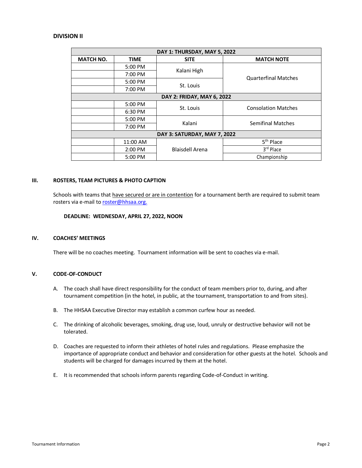## **DIVISION II**

| DAY 1: THURSDAY, MAY 5, 2022    |          |                        |                             |  |
|---------------------------------|----------|------------------------|-----------------------------|--|
| <b>MATCH NO.</b><br><b>TIME</b> |          | <b>SITE</b>            | <b>MATCH NOTE</b>           |  |
|                                 | 5:00 PM  |                        |                             |  |
|                                 | 7:00 PM  | Kalani High            | <b>Quarterfinal Matches</b> |  |
|                                 | 5:00 PM  |                        |                             |  |
|                                 | 7:00 PM  | St. Louis              |                             |  |
| DAY 2: FRIDAY, MAY 6, 2022      |          |                        |                             |  |
|                                 | 5:00 PM  | St. Louis              | <b>Consolation Matches</b>  |  |
|                                 | 6:30 PM  |                        |                             |  |
|                                 | 5:00 PM  | Kalani                 | <b>Semifinal Matches</b>    |  |
|                                 | 7:00 PM  |                        |                             |  |
| DAY 3: SATURDAY, MAY 7, 2022    |          |                        |                             |  |
|                                 | 11:00 AM | <b>Blaisdell Arena</b> | 5 <sup>th</sup> Place       |  |
|                                 | 2:00 PM  |                        | 3rd Place                   |  |
|                                 | 5:00 PM  |                        | Championship                |  |

### **III. ROSTERS, TEAM PICTURES & PHOTO CAPTION**

Schools with teams that have secured or are in contention for a tournament berth are required to submit team rosters via e-mail t[o roster@hhsaa.org.](mailto:roster@hhsaa.org)

#### **DEADLINE: WEDNESDAY, APRIL 27, 2022, NOON**

## **IV. COACHES' MEETINGS**

There will be no coaches meeting. Tournament information will be sent to coaches via e-mail.

# **V. CODE-OF-CONDUCT**

- A. The coach shall have direct responsibility for the conduct of team members prior to, during, and after tournament competition (in the hotel, in public, at the tournament, transportation to and from sites).
- B. The HHSAA Executive Director may establish a common curfew hour as needed.
- C. The drinking of alcoholic beverages, smoking, drug use, loud, unruly or destructive behavior will not be tolerated.
- D. Coaches are requested to inform their athletes of hotel rules and regulations. Please emphasize the importance of appropriate conduct and behavior and consideration for other guests at the hotel. Schools and students will be charged for damages incurred by them at the hotel.
- E. It is recommended that schools inform parents regarding Code-of-Conduct in writing.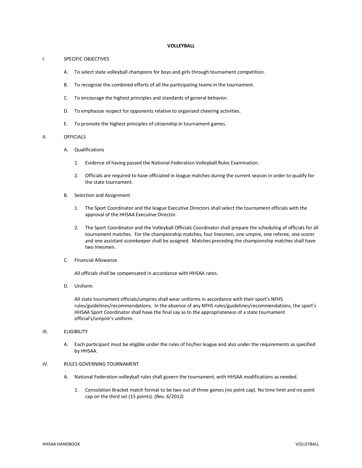#### **VOLLEYBALL**

#### I. SPECIFIC OBJECTIVES

- A. To select state volleyball champions for boys and girls through tournament competition.
- B. To recognize the combined efforts of all the participating teams in the tournament.
- C. To encourage the highest principles and standards of general behavior.
- D. To emphasize respect for opponents relative to organized cheering activities.
- E. To promote the highest principles of citizenship in tournament games.

#### II. OFFICIALS

- A. Qualifications
	- 1. Evidence of having passed the National Federation Volleyball Rules Examination.
	- 2. Officials are required to have officiated in league matches during the current season in order to qualify for the state tournament.
- B. Selection and Assignment
	- 1. The Sport Coordinator and the league Executive Directors shall select the tournament officials with the approval of the HHSAA Executive Director.
	- 2. The Sport Coordinator and the Volleyball Officials Coordinator shall prepare the scheduling of officials for all tournament matches. For the championship matches, four linesmen, one umpire, one referee, one scorer and one assistant scorekeeper shall be assigned. Matches preceding the championship matches shall have two linesmen.
- C. Financial Allowance

All officials shall be compensated in accordance with HHSAA rates.

D. Uniform

All state tournament officials/umpires shall wear uniforms in accordance with their sport's NFHS rules/guidelines/recommendations. In the absence of any NFHS rules/guidelines/recommendations, the sport's HHSAA Sport Coordinator shall have the final say as to the appropriateness of a state tournament official's/umpire's uniform.

## III. ELIGIBILITY

A. Each participant must be eligible under the rules of his/her league and also under the requirements as specified by HHSAA.

## IV. RULES GOVERNING TOURNAMENT

- A. National Federation volleyball rules shall govern the tournament, with HHSAA modifications as needed.
	- 1. Consolation Bracket match format to be two out of three games (no point cap). No time limit and no point cap on the third set (15 points). (Rev. 6/2012)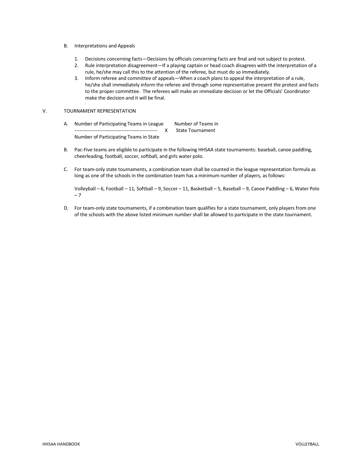- B. Interpretations and Appeals
	- 1. Decisions concerning facts—Decisions by officials concerning facts are final and not subject to protest.
	- 2. Rule interpretation disagreement—If a playing captain or head coach disagrees with the interpretation of a rule, he/she may call this to the attention of the referee, but must do so immediately.
	- 3. Inform referee and committee of appeals—When a coach plans to appeal the interpretation of a rule, he/she shall immediately inform the referee and through some representative present the protest and facts to the proper committee. The referees will make an immediate decision or let the Officials' Coordinator make the decision and it will be final.

#### V. TOURNAMENT REPRESENTATION

- A. Number of Participating Teams in League Number of Teams in --------------------------------------------------- X State Tournament Number of Participating Teams in State
- B. Pac-Five teams are eligible to participate in the following HHSAA state tournaments: baseball, canoe paddling, cheerleading, football, soccer, softball, and girls water polo.
- C. For team-only state tournaments, a combination team shall be counted in the league representation formula as long as one of the schools in the combination team has a minimum number of players, as follows:

Volleyball – 6, Football – 11, Softball – 9, Soccer – 11, Basketball – 5, Baseball – 9, Canoe Paddling – 6, Water Polo – 7

D. For team-only state tournaments, if a combination team qualifies for a state tournament, only players from one of the schools with the above listed minimum number shall be allowed to participate in the state tournament.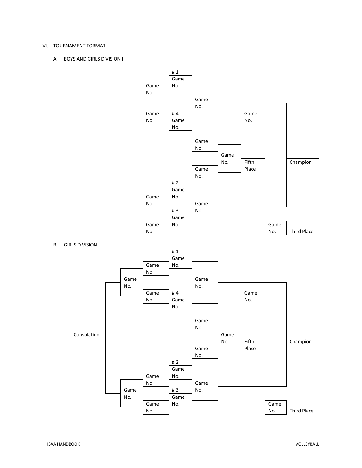### VI. TOURNAMENT FORMAT

A. BOYS AND GIRLS DIVISION I

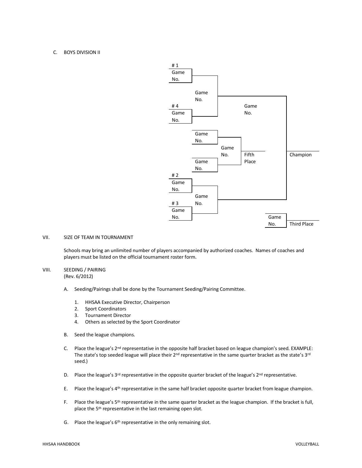## C. BOYS DIVISION II



## VII. SIZE OF TEAM IN TOURNAMENT

Schools may bring an unlimited number of players accompanied by authorized coaches. Names of coaches and players must be listed on the official tournament roster form.

# VIII. SEEDING / PAIRING

(Rev. 6/2012)

- A. Seeding/Pairings shall be done by the Tournament Seeding/Pairing Committee.
	- 1. HHSAA Executive Director, Chairperson
	- 2. Sport Coordinators
	- 3. Tournament Director
	- 4. Others as selected by the Sport Coordinator
- B. Seed the league champions.
- C. Place the league's 2<sup>nd</sup> representative in the opposite half bracket based on league champion's seed. EXAMPLE: The state's top seeded league will place their  $2^{nd}$  representative in the same quarter bracket as the state's  $3^{rd}$ seed.)
- D. Place the league's  $3^{rd}$  representative in the opposite quarter bracket of the league's  $2^{nd}$  representative.
- E. Place the league's 4th representative in the same half bracket opposite quarter bracket from league champion.
- F. Place the league's 5<sup>th</sup> representative in the same quarter bracket as the league champion. If the bracket is full, place the 5<sup>th</sup> representative in the last remaining open slot.
- G. Place the league's  $6<sup>th</sup>$  representative in the only remaining slot.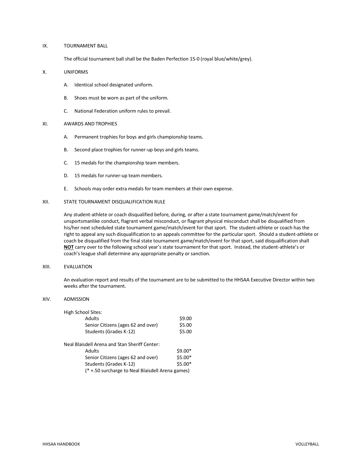#### IX. TOURNAMENT BALL

The official tournament ball shall be the Baden Perfection 15-0 (royal blue/white/grey).

#### X. UNIFORMS

- A. Identical school designated uniform.
- B. Shoes must be worn as part of the uniform.
- C. National Federation uniform rules to prevail.

#### XI. AWARDS AND TROPHIES

- A. Permanent trophies for boys and girls championship teams.
- B. Second place trophies for runner-up boys and girls teams.
- C. 15 medals for the championship team members.
- D. 15 medals for runner-up team members.
- E. Schools may order extra medals for team members at their own expense.

## XII. STATE TOURNAMENT DISQUALIFICATION RULE

Any student-athlete or coach disqualified before, during, or after a state tournament game/match/event for unsportsmanlike conduct, flagrant verbal misconduct, or flagrant physical misconduct shall be disqualified from his/her next scheduled state tournament game/match/event for that sport. The student-athlete or coach has the right to appeal any such disqualification to an appeals committee for the particular sport. Should a student-athlete or coach be disqualified from the final state tournament game/match/event for that sport, said disqualification shall **NOT** carry over to the following school year's state tournament for that sport. Instead, the student-athlete's or coach's league shall determine any appropriate penalty or sanction.

#### XIII. EVALUATION

An evaluation report and results of the tournament are to be submitted to the HHSAA Executive Director within two weeks after the tournament.

#### XIV. ADMISSION

| High School Sites:                               |          |
|--------------------------------------------------|----------|
| Adults                                           | \$9.00   |
| Senior Citizens (ages 62 and over)               | \$5.00   |
| Students (Grades K-12)                           | \$5.00   |
| Neal Blaisdell Arena and Stan Sheriff Center:    |          |
| Adults                                           | $$9.00*$ |
| Senior Citizens (ages 62 and over)               | \$5.00*  |
| Students (Grades K-12)                           | $$5.00*$ |
| (* +.50 surcharge to Neal Blaisdell Arena games) |          |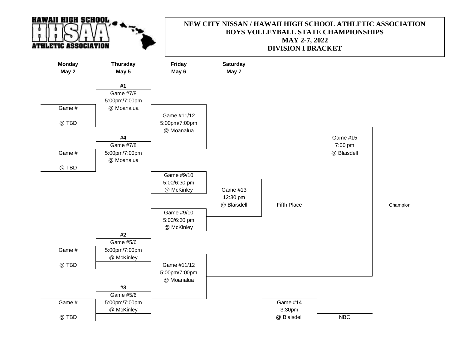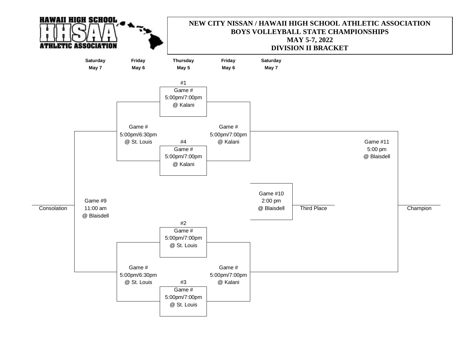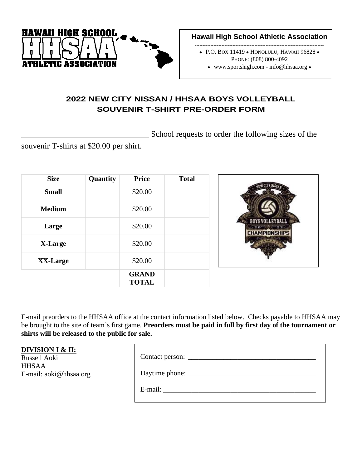

**Hawaii High School Athletic Association**

----------------------------------------------------------------------------------

- ⚫ P.O. BOX 11419 ⚫ HONOLULU, HAWAII 96828 ⚫ PHONE: (808) 800-4092
	- ⚫ www.sportshigh.com info@hhsaa.org ⚫

# **2022 NEW CITY NISSAN / HHSAA BOYS VOLLEYBALL SOUVENIR T-SHIRT PRE-ORDER FORM**

School requests to order the following sizes of the

souvenir T-shirts at \$20.00 per shirt.

| <b>Size</b>   | Quantity | <b>Price</b>                 | <b>Total</b> |
|---------------|----------|------------------------------|--------------|
| <b>Small</b>  |          | \$20.00                      |              |
| <b>Medium</b> |          | \$20.00                      |              |
| Large         |          | \$20.00                      |              |
| X-Large       |          | \$20.00                      |              |
| XX-Large      |          | \$20.00                      |              |
|               |          | <b>GRAND</b><br><b>TOTAL</b> |              |

Ē



 $\overline{\mathbf{u}}$ 

E-mail preorders to the HHSAA office at the contact information listed below. Checks payable to HHSAA may be brought to the site of team's first game. **Preorders must be paid in full by first day of the tournament or shirts will be released to the public for sale.**

# **DIVISION I & II:**

Russell Aoki HHSAA E-mail: aoki@hhsaa.org

| Daytime phone: |
|----------------|
| E-mail:        |